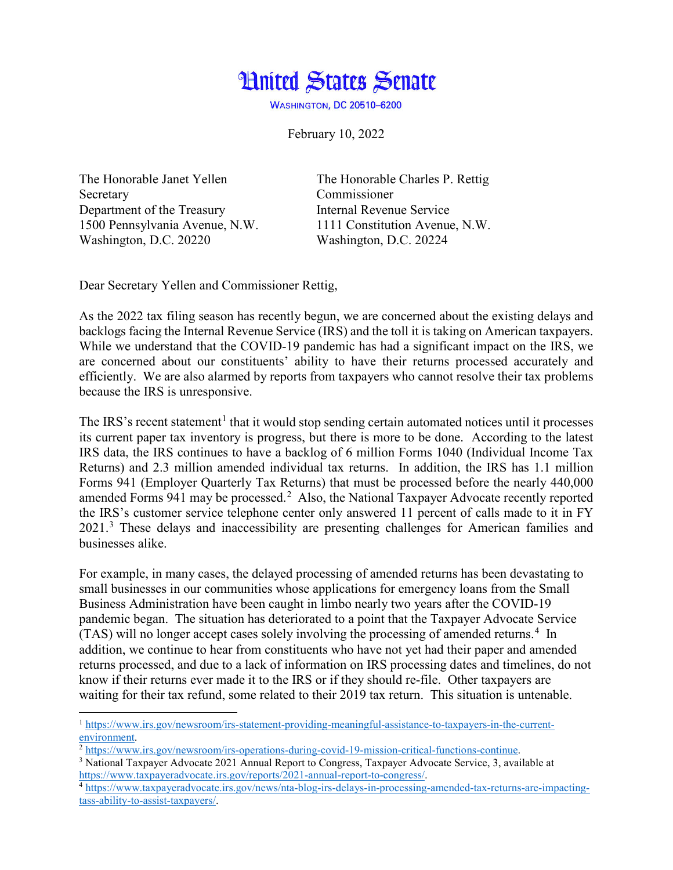

**WASHINGTON, DC 20510-6200** 

February 10, 2022

Secretary Commissioner Department of the Treasury **Internal Revenue Service** Washington, D.C. 20220 Washington, D.C. 20224

 $\overline{\phantom{a}}$ 

The Honorable Janet Yellen The Honorable Charles P. Rettig 1500 Pennsylvania Avenue, N.W. 1111 Constitution Avenue, N.W.

Dear Secretary Yellen and Commissioner Rettig,

As the 2022 tax filing season has recently begun, we are concerned about the existing delays and backlogs facing the Internal Revenue Service (IRS) and the toll it is taking on American taxpayers. While we understand that the COVID-19 pandemic has had a significant impact on the IRS, we are concerned about our constituents' ability to have their returns processed accurately and efficiently. We are also alarmed by reports from taxpayers who cannot resolve their tax problems because the IRS is unresponsive.

The IRS's recent statement<sup>[1](#page-0-0)</sup> that it would stop sending certain automated notices until it processes its current paper tax inventory is progress, but there is more to be done. According to the latest IRS data, the IRS continues to have a backlog of 6 million Forms 1040 (Individual Income Tax Returns) and 2.3 million amended individual tax returns. In addition, the IRS has 1.1 million Forms 941 (Employer Quarterly Tax Returns) that must be processed before the nearly 440,000 amended Forms 941 may be processed.<sup>[2](#page-0-1)</sup> Also, the National Taxpayer Advocate recently reported the IRS's customer service telephone center only answered 11 percent of calls made to it in FY 2021.[3](#page-0-2) These delays and inaccessibility are presenting challenges for American families and businesses alike.

For example, in many cases, the delayed processing of amended returns has been devastating to small businesses in our communities whose applications for emergency loans from the Small Business Administration have been caught in limbo nearly two years after the COVID-19 pandemic began. The situation has deteriorated to a point that the Taxpayer Advocate Service (TAS) will no longer accept cases solely involving the processing of amended returns.<sup>[4](#page-0-3)</sup> In addition, we continue to hear from constituents who have not yet had their paper and amended returns processed, and due to a lack of information on IRS processing dates and timelines, do not know if their returns ever made it to the IRS or if they should re-file. Other taxpayers are waiting for their tax refund, some related to their 2019 tax return. This situation is untenable.

<span id="page-0-0"></span><sup>1</sup> [https://www.irs.gov/newsroom/irs-statement-providing-meaningful-assistance-to-taxpayers-in-the-current-](https://www.irs.gov/newsroom/irs-statement-providing-meaningful-assistance-to-taxpayers-in-the-current-environment)

<span id="page-0-1"></span> $\frac{1}{2}$  [https://www.irs.gov/newsroom/irs-operations-during-covid-19-mission-critical-functions-continue.](https://www.irs.gov/newsroom/irs-operations-during-covid-19-mission-critical-functions-continue)

<span id="page-0-2"></span><sup>&</sup>lt;sup>3</sup> National Taxpayer Advocate 2021 Annual Report to Congress, Taxpayer Advocate Service, 3, available at https://www.taxpayeradvocate.irs.gov/reports/2021-annual-report-to-congress/.

<span id="page-0-3"></span>[https://www.taxpayeradvocate.irs.gov/reports/2021-annual-report-to-congress/.](https://www.taxpayeradvocate.irs.gov/reports/2021-annual-report-to-congress/) 4 https://www.taxpayeradvocate.irs.gov/news/nta-blog-irs-delays-in-processing-amended-tax-returns-are-impactingtass-ability-to-assist-taxpayers/.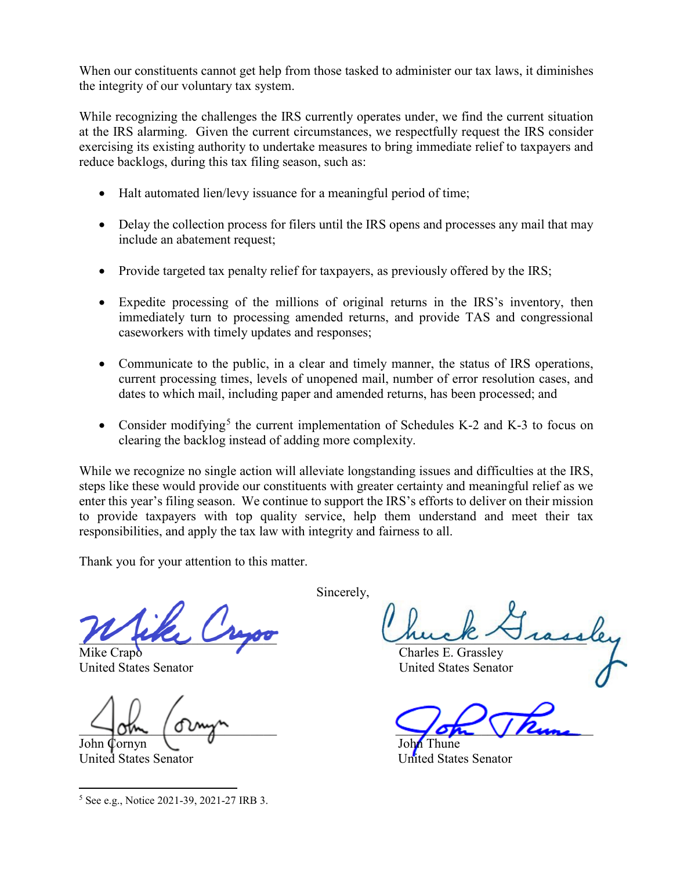When our constituents cannot get help from those tasked to administer our tax laws, it diminishes the integrity of our voluntary tax system.

While recognizing the challenges the IRS currently operates under, we find the current situation at the IRS alarming. Given the current circumstances, we respectfully request the IRS consider exercising its existing authority to undertake measures to bring immediate relief to taxpayers and reduce backlogs, during this tax filing season, such as:

- Halt automated lien/levy issuance for a meaningful period of time;
- Delay the collection process for filers until the IRS opens and processes any mail that may include an abatement request;
- Provide targeted tax penalty relief for taxpayers, as previously offered by the IRS;
- Expedite processing of the millions of original returns in the IRS's inventory, then immediately turn to processing amended returns, and provide TAS and congressional caseworkers with timely updates and responses;
- Communicate to the public, in a clear and timely manner, the status of IRS operations, current processing times, levels of unopened mail, number of error resolution cases, and dates to which mail, including paper and amended returns, has been processed; and
- Consider modifying<sup>[5](#page-1-0)</sup> the current implementation of Schedules K-2 and K-3 to focus on clearing the backlog instead of adding more complexity.

While we recognize no single action will alleviate longstanding issues and difficulties at the IRS, steps like these would provide our constituents with greater certainty and meaningful relief as we enter this year's filing season. We continue to support the IRS's efforts to deliver on their mission to provide taxpayers with top quality service, help them understand and meet their tax responsibilities, and apply the tax law with integrity and fairness to all.

Thank you for your attention to this matter.

Mike Crapo Charles E. Grassley

John Cornyn V John Thune

United States Senator United States Senator

<span id="page-1-0"></span> $\overline{\phantom{a}}$ <sup>5</sup> See e.g., Notice 2021-39, 2021-27 IRB 3. Sincerely,

 $\mu$  and  $\mu$ 

United States Senator United States Senator

 $\sqrt{2m}$  /  $\frac{2m}{\pi}$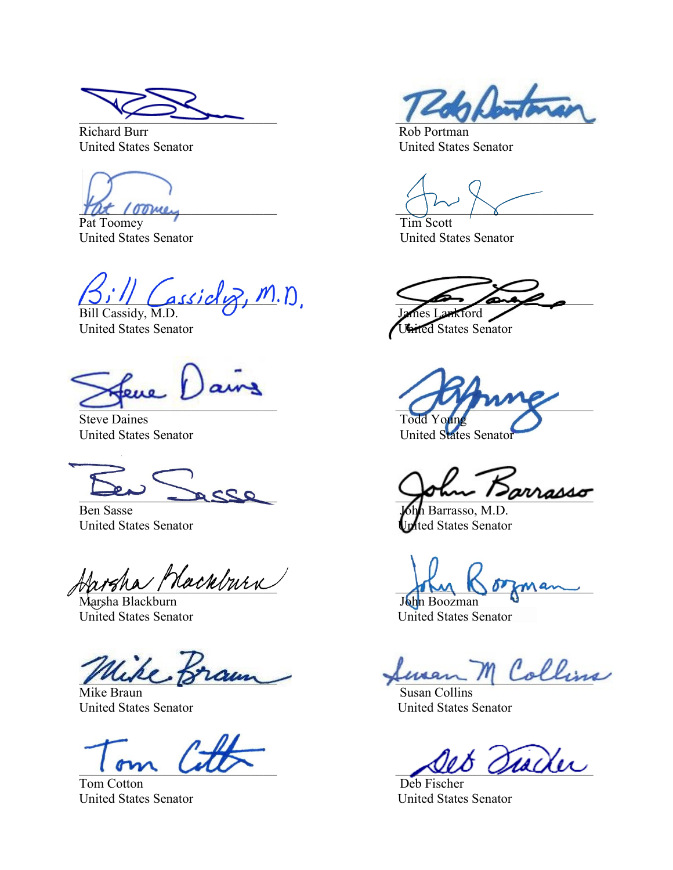Richard Burr Rob Portman United States Senator United States Senator

Pat Toomey Tim Scott United States Senator United States Senator

 $\frac{1}{\text{classical}}$ ,  $m$ .  $n$ Bill Cassidy, M.D.

Steve Daines<br>
United States Senator<br>
United States Senator<br>
United States Senator United States Senator

Ben Sasse **John Barrasso, M.D.** United States Senator United States Senator

Harsha Mackburn<br>Marsha Blackburn<br>John Boozman

Marsha Blackburn<br>United States Senator

United States Senator

Tom Cotton Deb Fischer United States Senator United States Senator

 $\sim$   $\sim$   $\sim$   $\sim$   $\sim$   $\sim$   $\sim$ 

 $\frac{1}{2}$  /  $\frac{1}{2}$  /  $\frac{1}{2}$  /  $\frac{1}{2}$  /  $\frac{1}{2}$  /  $\frac{1}{2}$ 

United States Senator Christelland States Senator

\_\_\_\_\_\_\_\_\_\_\_\_\_\_\_\_\_\_\_\_\_\_\_\_\_\_\_\_\_\_ \_\_\_\_\_\_\_\_\_\_\_\_\_\_\_\_\_\_\_\_\_\_\_\_\_\_\_\_\_\_

 $\cos\theta$   $\omega$   $\sin\theta$ 

United States Senator

feren M Collins

Mike Braun Susan Collins<br>
United States Senator<br>
United States Senator<br>
Susan Collins

Siader